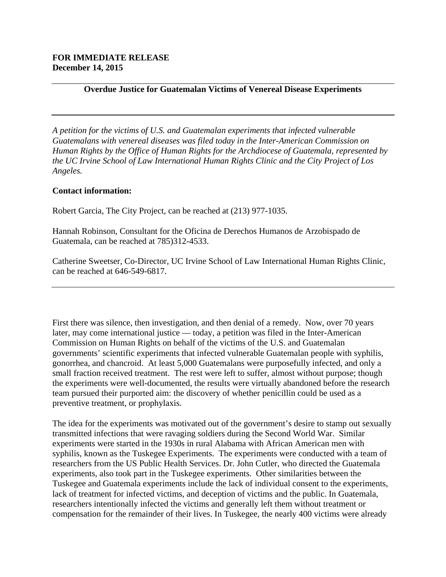## **Overdue Justice for Guatemalan Victims of Venereal Disease Experiments**

*A petition for the victims of U.S. and Guatemalan experiments that infected vulnerable Guatemalans with venereal diseases was filed today in the Inter-American Commission on Human Rights by the Office of Human Rights for the Archdiocese of Guatemala, represented by the UC Irvine School of Law International Human Rights Clinic and the City Project of Los Angeles.*

## **Contact information:**

Robert Garcia, The City Project, can be reached at (213) 977-1035.

Hannah Robinson, Consultant for the Oficina de Derechos Humanos de Arzobispado de Guatemala, can be reached at 785)312-4533.

Catherine Sweetser, Co-Director, UC Irvine School of Law International Human Rights Clinic, can be reached at 646-549-6817.

First there was silence, then investigation, and then denial of a remedy. Now, over 70 years later, may come international justice — today, a petition was filed in the Inter-American Commission on Human Rights on behalf of the victims of the U.S. and Guatemalan governments' scientific experiments that infected vulnerable Guatemalan people with syphilis, gonorrhea, and chancroid. At least 5,000 Guatemalans were purposefully infected, and only a small fraction received treatment. The rest were left to suffer, almost without purpose; though the experiments were well-documented, the results were virtually abandoned before the research team pursued their purported aim: the discovery of whether penicillin could be used as a preventive treatment, or prophylaxis.

The idea for the experiments was motivated out of the government's desire to stamp out sexually transmitted infections that were ravaging soldiers during the Second World War. Similar experiments were started in the 1930s in rural Alabama with African American men with syphilis, known as the Tuskegee Experiments. The experiments were conducted with a team of researchers from the US Public Health Services. Dr. John Cutler, who directed the Guatemala experiments, also took part in the Tuskegee experiments. Other similarities between the Tuskegee and Guatemala experiments include the lack of individual consent to the experiments, lack of treatment for infected victims, and deception of victims and the public. In Guatemala, researchers intentionally infected the victims and generally left them without treatment or compensation for the remainder of their lives. In Tuskegee, the nearly 400 victims were already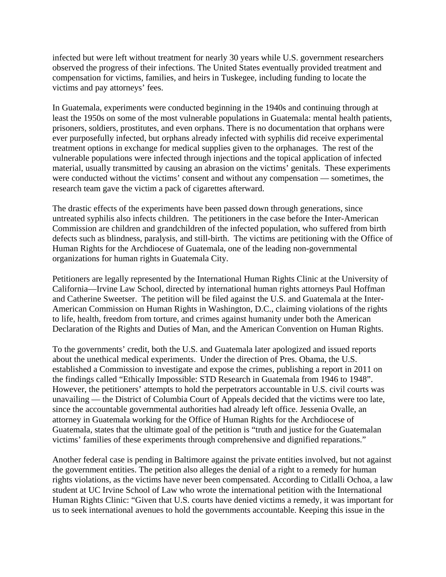infected but were left without treatment for nearly 30 years while U.S. government researchers observed the progress of their infections. The United States eventually provided treatment and compensation for victims, families, and heirs in Tuskegee, including funding to locate the victims and pay attorneys' fees.

In Guatemala, experiments were conducted beginning in the 1940s and continuing through at least the 1950s on some of the most vulnerable populations in Guatemala: mental health patients, prisoners, soldiers, prostitutes, and even orphans. There is no documentation that orphans were ever purposefully infected, but orphans already infected with syphilis did receive experimental treatment options in exchange for medical supplies given to the orphanages. The rest of the vulnerable populations were infected through injections and the topical application of infected material, usually transmitted by causing an abrasion on the victims' genitals. These experiments were conducted without the victims' consent and without any compensation — sometimes, the research team gave the victim a pack of cigarettes afterward.

The drastic effects of the experiments have been passed down through generations, since untreated syphilis also infects children. The petitioners in the case before the Inter-American Commission are children and grandchildren of the infected population, who suffered from birth defects such as blindness, paralysis, and still-birth. The victims are petitioning with the Office of Human Rights for the Archdiocese of Guatemala, one of the leading non-governmental organizations for human rights in Guatemala City.

Petitioners are legally represented by the International Human Rights Clinic at the University of California—Irvine Law School, directed by international human rights attorneys Paul Hoffman and Catherine Sweetser. The petition will be filed against the U.S. and Guatemala at the Inter-American Commission on Human Rights in Washington, D.C., claiming violations of the rights to life, health, freedom from torture, and crimes against humanity under both the American Declaration of the Rights and Duties of Man, and the American Convention on Human Rights.

To the governments' credit, both the U.S. and Guatemala later apologized and issued reports about the unethical medical experiments. Under the direction of Pres. Obama, the U.S. established a Commission to investigate and expose the crimes, publishing a report in 2011 on the findings called "Ethically Impossible: STD Research in Guatemala from 1946 to 1948". However, the petitioners' attempts to hold the perpetrators accountable in U.S. civil courts was unavailing — the District of Columbia Court of Appeals decided that the victims were too late, since the accountable governmental authorities had already left office. Jessenia Ovalle, an attorney in Guatemala working for the Office of Human Rights for the Archdiocese of Guatemala, states that the ultimate goal of the petition is "truth and justice for the Guatemalan victims' families of these experiments through comprehensive and dignified reparations."

Another federal case is pending in Baltimore against the private entities involved, but not against the government entities. The petition also alleges the denial of a right to a remedy for human rights violations, as the victims have never been compensated. According to Citlalli Ochoa, a law student at UC Irvine School of Law who wrote the international petition with the International Human Rights Clinic: "Given that U.S. courts have denied victims a remedy, it was important for us to seek international avenues to hold the governments accountable. Keeping this issue in the